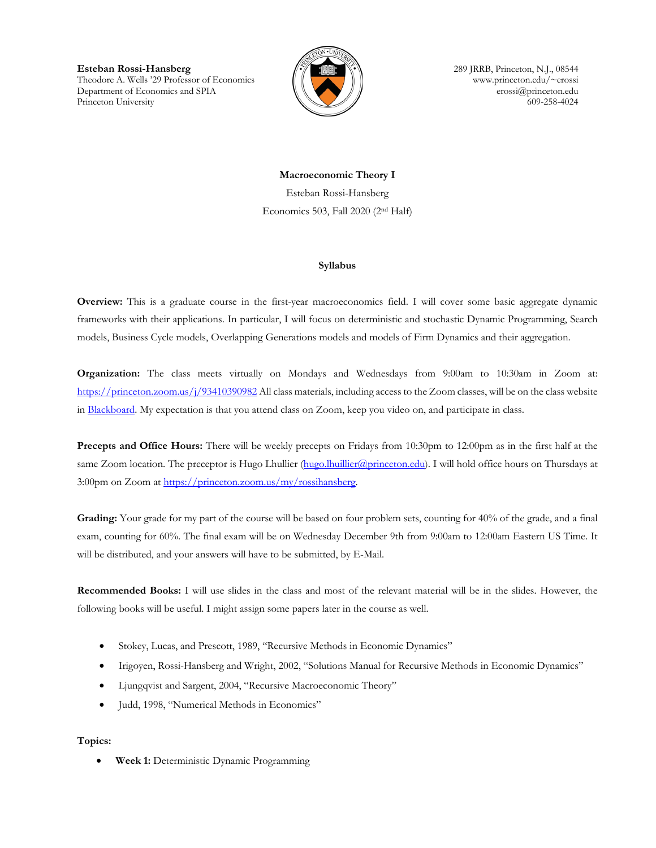**Esteban Rossi-Hansberg** 289 JRRB, Princeton, N.J., 08544<br>Theodore A. Wells '29 Professor of Economics (2009) Theodore A. Wells '29 Professor of Economics Theodore A. Wells '29 Professor of Economics Department of Economics and SPIA  $\parallel \parallel \parallel \parallel$  erossi $\emptyset$  princeton.edu Princeton University 609-258-4024



**Macroeconomic Theory I** Esteban Rossi-Hansberg Economics 503, Fall 2020 (2nd Half)

## **Syllabus**

**Overview:** This is a graduate course in the first-year macroeconomics field. I will cover some basic aggregate dynamic frameworks with their applications. In particular, I will focus on deterministic and stochastic Dynamic Programming, Search models, Business Cycle models, Overlapping Generations models and models of Firm Dynamics and their aggregation.

**Organization:** The class meets virtually on Mondays and Wednesdays from 9:00am to 10:30am in Zoom at: <https://princeton.zoom.us/j/93410390982> All class materials, including access to the Zoom classes, will be on the class website in [Blackboard.](https://blackboard.princeton.edu/webapps/blackboard/execute/courseMain?course_id=_6125906_1) My expectation is that you attend class on Zoom, keep you video on, and participate in class.

**Precepts and Office Hours:** There will be weekly precepts on Fridays from 10:30pm to 12:00pm as in the first half at the same Zoom location. The preceptor is Hugo Lhullier (hugo.lhuillier (aprinceton.edu). I will hold office hours on Thursdays at 3:00pm on Zoom a[t https://princeton.zoom.us/my/rossihansberg.](https://princeton.zoom.us/my/rossihansberg)

**Grading:** Your grade for my part of the course will be based on four problem sets, counting for 40% of the grade, and a final exam, counting for 60%. The final exam will be on Wednesday December 9th from 9:00am to 12:00am Eastern US Time. It will be distributed, and your answers will have to be submitted, by E-Mail.

**Recommended Books:** I will use slides in the class and most of the relevant material will be in the slides. However, the following books will be useful. I might assign some papers later in the course as well.

- Stokey, Lucas, and Prescott, 1989, "Recursive Methods in Economic Dynamics"
- Irigoyen, Rossi-Hansberg and Wright, 2002, "Solutions Manual for Recursive Methods in Economic Dynamics"
- Ljungqvist and Sargent, 2004, "Recursive Macroeconomic Theory"
- Judd, 1998, "Numerical Methods in Economics"

## **Topics:**

• **Week 1:** Deterministic Dynamic Programming